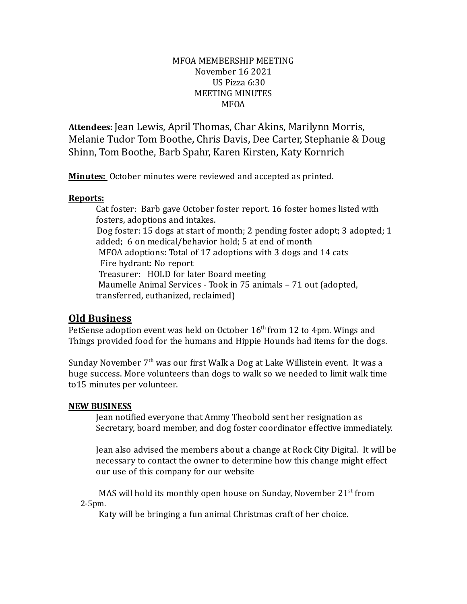## MFOA MEMBERSHIP MEETING November 16 2021 US Pizza 6:30 MEETING MINUTES MFOA

**Attendees:** Jean Lewis, April Thomas, Char Akins, Marilynn Morris, Melanie Tudor Tom Boothe, Chris Davis, Dee Carter, Stephanie & Doug Shinn, Tom Boothe, Barb Spahr, Karen Kirsten, Katy Kornrich

**Minutes:** October minutes were reviewed and accepted as printed.

## **Reports:**

Cat foster: Barb gave October foster report. 16 foster homes listed with fosters, adoptions and intakes. Dog foster: 15 dogs at start of month; 2 pending foster adopt; 3 adopted; 1 added; 6 on medical/behavior hold; 5 at end of month MFOA adoptions: Total of 17 adoptions with 3 dogs and 14 cats Fire hydrant: No report Treasurer: HOLD for later Board meeting Maumelle Animal Services - Took in 75 animals - 71 out (adopted, transferred, euthanized, reclaimed)

## **Old Business**

PetSense adoption event was held on October  $16<sup>th</sup>$  from 12 to 4pm. Wings and Things provided food for the humans and Hippie Hounds had items for the dogs.

Sunday November 7<sup>th</sup> was our first Walk a Dog at Lake Willistein event. It was a huge success. More volunteers than dogs to walk so we needed to limit walk time to15 minutes per volunteer.

## **NEW BUSINESS**

Jean notified everyone that Ammy Theobold sent her resignation as Secretary, board member, and dog foster coordinator effective immediately.

Jean also advised the members about a change at Rock City Digital. It will be necessary to contact the owner to determine how this change might effect our use of this company for our website

MAS will hold its monthly open house on Sunday, November 21<sup>st</sup> from 2-5pm.

Katy will be bringing a fun animal Christmas craft of her choice.